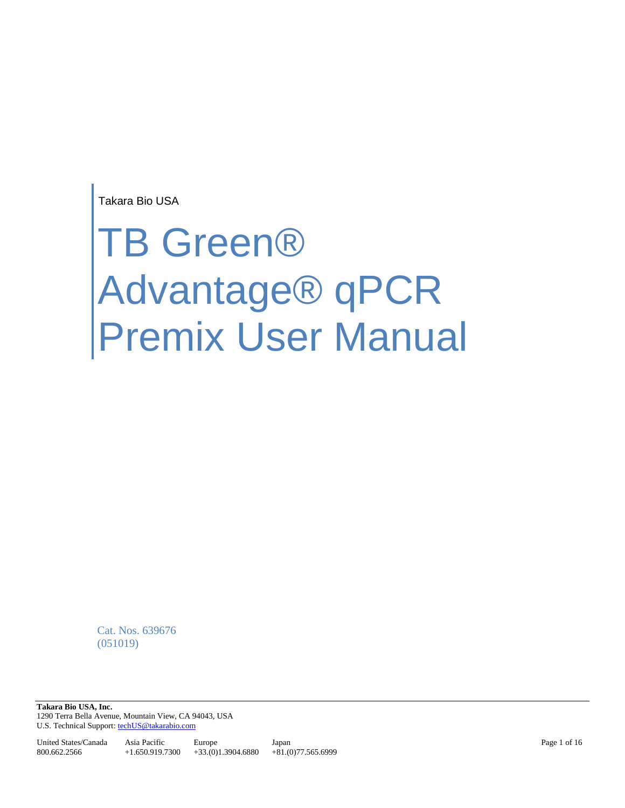Takara Bio USA

# TB Green® Advantage® qPCR Premix User Manual

Cat. Nos. 639676 (051019)

**Takara Bio USA, Inc.**  1290 Terra Bella Avenue, Mountain View, CA 94043, USA U.S. Technical Support[: techUS@takarabio.com](mailto:techUS@takarabio.com)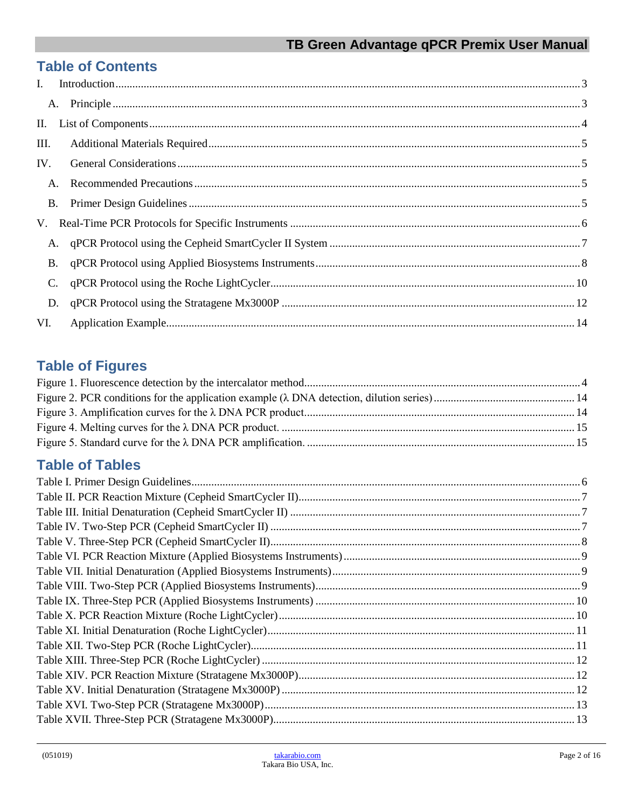# **Table of Contents**

| $\mathbf{I}$ . |  |
|----------------|--|
|                |  |
| П.             |  |
| III.           |  |
| IV.            |  |
| A.             |  |
| <b>B.</b>      |  |
|                |  |
| A.             |  |
| <b>B.</b>      |  |
| C.             |  |
| D.             |  |
| VI.            |  |

# **Table of Figures**

# **Table of Tables**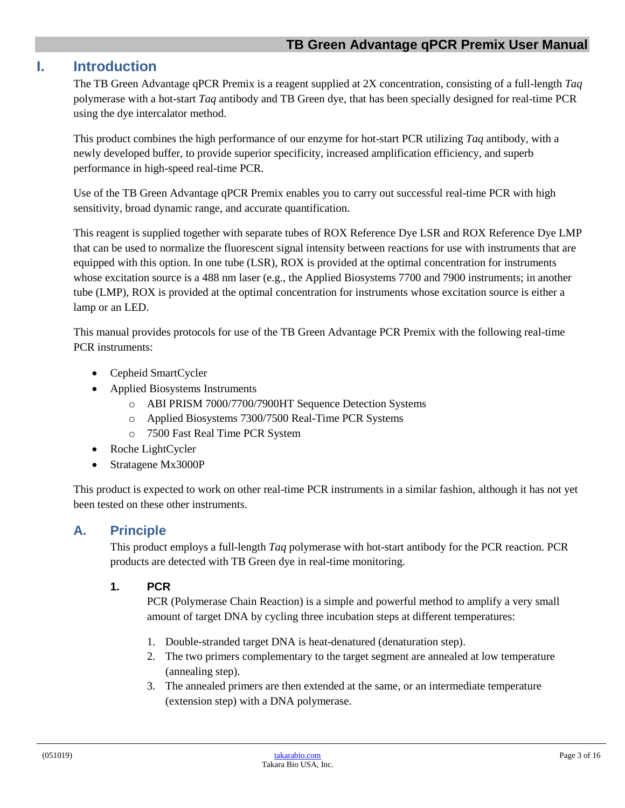#### <span id="page-2-0"></span>**I. Introduction**

The TB Green Advantage qPCR Premix is a reagent supplied at 2X concentration, consisting of a full-length *Taq* polymerase with a hot-start *Taq* antibody and TB Green dye, that has been specially designed for real-time PCR using the dye intercalator method.

This product combines the high performance of our enzyme for hot-start PCR utilizing *Taq* antibody, with a newly developed buffer, to provide superior specificity, increased amplification efficiency, and superb performance in high-speed real-time PCR.

Use of the TB Green Advantage qPCR Premix enables you to carry out successful real-time PCR with high sensitivity, broad dynamic range, and accurate quantification.

This reagent is supplied together with separate tubes of ROX Reference Dye LSR and ROX Reference Dye LMP that can be used to normalize the fluorescent signal intensity between reactions for use with instruments that are equipped with this option. In one tube (LSR), ROX is provided at the optimal concentration for instruments whose excitation source is a 488 nm laser (e.g., the Applied Biosystems 7700 and 7900 instruments; in another tube (LMP), ROX is provided at the optimal concentration for instruments whose excitation source is either a lamp or an LED.

This manual provides protocols for use of the TB Green Advantage PCR Premix with the following real-time PCR instruments:

- Cepheid SmartCycler
- Applied Biosystems Instruments
	- o ABI PRISM 7000/7700/7900HT Sequence Detection Systems
	- o Applied Biosystems 7300/7500 Real-Time PCR Systems
	- o 7500 Fast Real Time PCR System
- Roche LightCycler
- Stratagene Mx3000P

This product is expected to work on other real-time PCR instruments in a similar fashion, although it has not yet been tested on these other instruments.

#### <span id="page-2-1"></span>**A. Principle**

This product employs a full-length *Taq* polymerase with hot-start antibody for the PCR reaction. PCR products are detected with TB Green dye in real-time monitoring.

#### **1. PCR**

PCR (Polymerase Chain Reaction) is a simple and powerful method to amplify a very small amount of target DNA by cycling three incubation steps at different temperatures:

- 1. Double-stranded target DNA is heat-denatured (denaturation step).
- 2. The two primers complementary to the target segment are annealed at low temperature (annealing step).
- 3. The annealed primers are then extended at the same, or an intermediate temperature (extension step) with a DNA polymerase.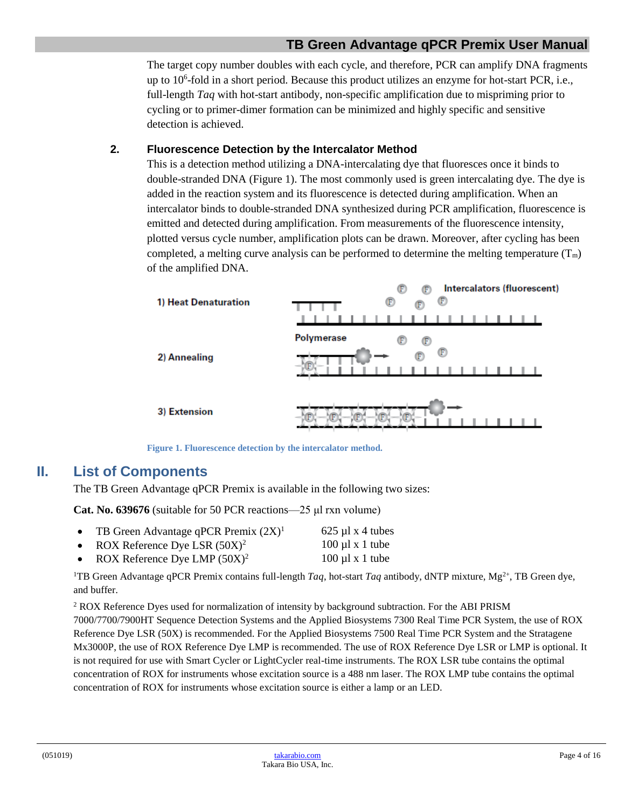The target copy number doubles with each cycle, and therefore, PCR can amplify DNA fragments up to 10<sup>6</sup>-fold in a short period. Because this product utilizes an enzyme for hot-start PCR, i.e., full-length *Taq* with hot-start antibody, non-specific amplification due to mispriming prior to cycling or to primer-dimer formation can be minimized and highly specific and sensitive detection is achieved.

#### **2. Fluorescence Detection by the Intercalator Method**

This is a detection method utilizing a DNA-intercalating dye that fluoresces once it binds to double-stranded DNA (Figure 1). The most commonly used is green intercalating dye. The dye is added in the reaction system and its fluorescence is detected during amplification. When an intercalator binds to double-stranded DNA synthesized during PCR amplification, fluorescence is emitted and detected during amplification. From measurements of the fluorescence intensity, plotted versus cycle number, amplification plots can be drawn. Moreover, after cycling has been completed, a melting curve analysis can be performed to determine the melting temperature  $(T_m)$ of the amplified DNA.



**Figure 1. Fluorescence detection by the intercalator method.**

## <span id="page-3-2"></span><span id="page-3-0"></span>**II. List of Components**

The TB Green Advantage qPCR Premix is available in the following two sizes:

**Cat. No. 639676** (suitable for 50 PCR reactions—25 μl rxn volume)

- TB Green Advantage qPCR Premix  $(2X)^1$  625 µl x 4 tubes
- ROX Reference Dye LSR  $(50X)^2$  100 µl x 1 tube ROX Reference Dye LMP  $(50X)^2$  100 µl x 1 tube
- <sup>1</sup>TB Green Advantage qPCR Premix contains full-length *Taq*, hot-start *Taq* antibody, dNTP mixture,  $Mg^{2+}$ , TB Green dye, and buffer.

<sup>2</sup> ROX Reference Dyes used for normalization of intensity by background subtraction. For the ABI PRISM

<span id="page-3-1"></span>7000/7700/7900HT Sequence Detection Systems and the Applied Biosystems 7300 Real Time PCR System, the use of ROX Reference Dye LSR (50X) is recommended. For the Applied Biosystems 7500 Real Time PCR System and the Stratagene Mx3000P, the use of ROX Reference Dye LMP is recommended. The use of ROX Reference Dye LSR or LMP is optional. It is not required for use with Smart Cycler or LightCycler real-time instruments. The ROX LSR tube contains the optimal concentration of ROX for instruments whose excitation source is a 488 nm laser. The ROX LMP tube contains the optimal concentration of ROX for instruments whose excitation source is either a lamp or an LED.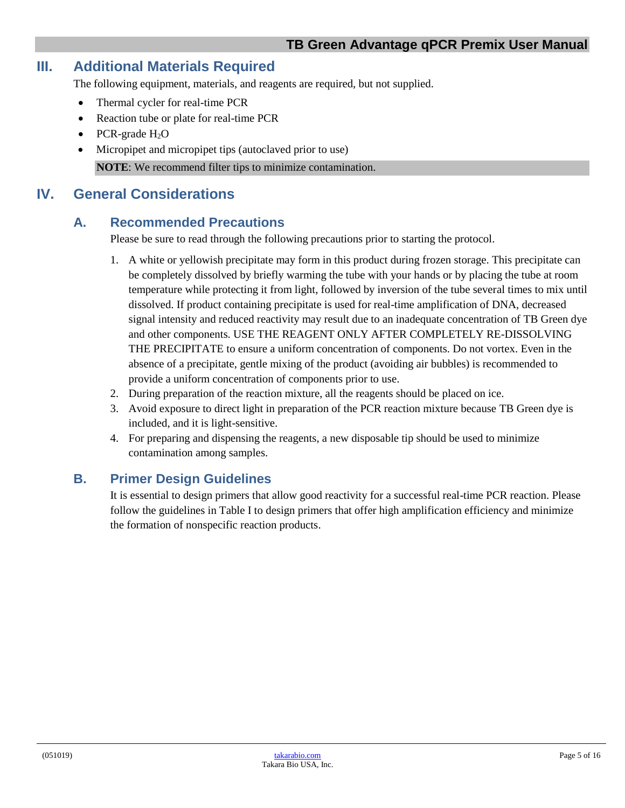## **III. Additional Materials Required**

The following equipment, materials, and reagents are required, but not supplied.

- Thermal cycler for real-time PCR
- Reaction tube or plate for real-time PCR
- PCR-grade  $H_2O$
- Micropipet and micropipet tips (autoclaved prior to use) **NOTE**: We recommend filter tips to minimize contamination.

### <span id="page-4-1"></span><span id="page-4-0"></span>**IV. General Considerations**

#### **A. Recommended Precautions**

Please be sure to read through the following precautions prior to starting the protocol.

- 1. A white or yellowish precipitate may form in this product during frozen storage. This precipitate can be completely dissolved by briefly warming the tube with your hands or by placing the tube at room temperature while protecting it from light, followed by inversion of the tube several times to mix until dissolved. If product containing precipitate is used for real-time amplification of DNA, decreased signal intensity and reduced reactivity may result due to an inadequate concentration of TB Green dye and other components. USE THE REAGENT ONLY AFTER COMPLETELY RE-DISSOLVING THE PRECIPITATE to ensure a uniform concentration of components. Do not vortex. Even in the absence of a precipitate, gentle mixing of the product (avoiding air bubbles) is recommended to provide a uniform concentration of components prior to use.
- 2. During preparation of the reaction mixture, all the reagents should be placed on ice.
- 3. Avoid exposure to direct light in preparation of the PCR reaction mixture because TB Green dye is included, and it is light-sensitive.
- 4. For preparing and dispensing the reagents, a new disposable tip should be used to minimize contamination among samples.

#### <span id="page-4-2"></span>**B. Primer Design Guidelines**

It is essential to design primers that allow good reactivity for a successful real-time PCR reaction. Please follow the guidelines in Table I to design primers that offer high amplification efficiency and minimize the formation of nonspecific reaction products.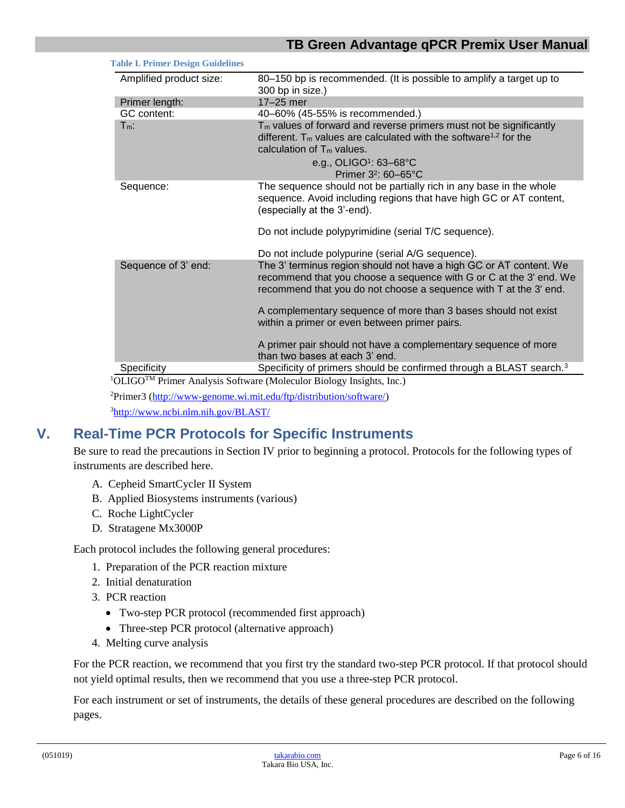| Amplified product size: | 80-150 bp is recommended. (It is possible to amplify a target up to                                                                                                                                           |  |  |  |
|-------------------------|---------------------------------------------------------------------------------------------------------------------------------------------------------------------------------------------------------------|--|--|--|
|                         | 300 bp in size.)                                                                                                                                                                                              |  |  |  |
| Primer length:          | 17-25 mer                                                                                                                                                                                                     |  |  |  |
| GC content:             | 40-60% (45-55% is recommended.)                                                                                                                                                                               |  |  |  |
| $T_m$ :                 | $Tm$ values of forward and reverse primers must not be significantly<br>different. $T_m$ values are calculated with the software <sup>1,2</sup> for the<br>calculation of $T_m$ values.                       |  |  |  |
|                         | e.g., OLIGO <sup>1</sup> : 63-68°C                                                                                                                                                                            |  |  |  |
|                         | Primer 3 <sup>2</sup> : 60-65°C                                                                                                                                                                               |  |  |  |
| Sequence:               | The sequence should not be partially rich in any base in the whole<br>sequence. Avoid including regions that have high GC or AT content,<br>(especially at the 3'-end).                                       |  |  |  |
|                         | Do not include polypyrimidine (serial T/C sequence).                                                                                                                                                          |  |  |  |
|                         | Do not include polypurine (serial A/G sequence).                                                                                                                                                              |  |  |  |
| Sequence of 3' end:     | The 3' terminus region should not have a high GC or AT content. We<br>recommend that you choose a sequence with G or C at the 3' end. We<br>recommend that you do not choose a sequence with T at the 3' end. |  |  |  |
|                         | A complementary sequence of more than 3 bases should not exist<br>within a primer or even between primer pairs.                                                                                               |  |  |  |
|                         | A primer pair should not have a complementary sequence of more<br>than two bases at each 3' end.                                                                                                              |  |  |  |
| Specificity             | Specificity of primers should be confirmed through a BLAST search. <sup>3</sup>                                                                                                                               |  |  |  |

<sup>2</sup>Primer3 [\(http://www-genome.wi.mit.edu/ftp/distribution/software/\)](http://www-genome.wi.mit.edu/ftp/distribution/software/)

<sup>3</sup><http://www.ncbi.nlm.nih.gov/BLAST/>

<span id="page-5-1"></span>**Table I. Primer Design Guidelines**

## <span id="page-5-0"></span>**V. Real-Time PCR Protocols for Specific Instruments**

Be sure to read the precautions in Section IV prior to beginning a protocol. Protocols for the following types of instruments are described here.

- A. Cepheid SmartCycler II System
- B. Applied Biosystems instruments (various)
- C. Roche LightCycler
- D. Stratagene Mx3000P

Each protocol includes the following general procedures:

- 1. Preparation of the PCR reaction mixture
- 2. Initial denaturation
- 3. PCR reaction
	- Two-step PCR protocol (recommended first approach)
	- Three-step PCR protocol (alternative approach)
- 4. Melting curve analysis

For the PCR reaction, we recommend that you first try the standard two-step PCR protocol. If that protocol should not yield optimal results, then we recommend that you use a three-step PCR protocol.

For each instrument or set of instruments, the details of these general procedures are described on the following pages.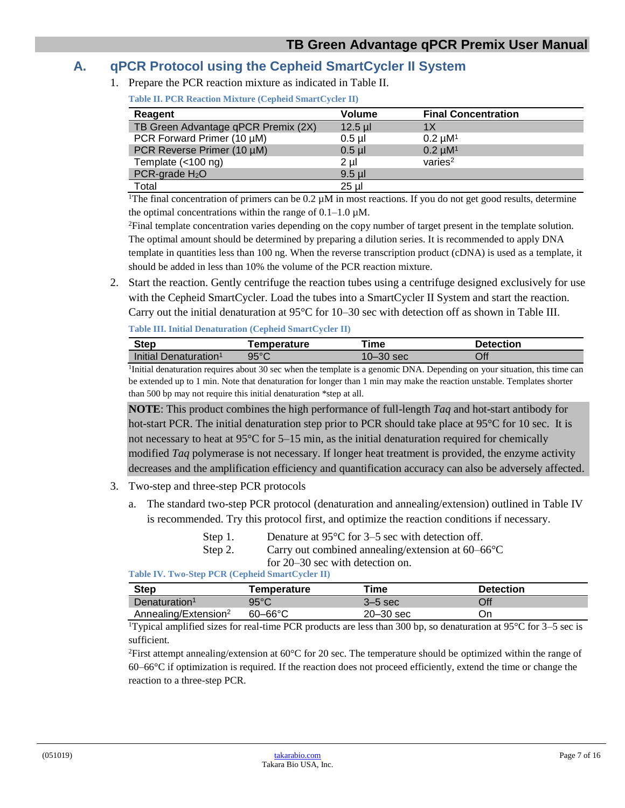#### <span id="page-6-1"></span><span id="page-6-0"></span>**A. qPCR Protocol using the Cepheid SmartCycler II System**

1. Prepare the PCR reaction mixture as indicated in Table II.

| Reagent                             | <b>Volume</b> | <b>Final Concentration</b> |
|-------------------------------------|---------------|----------------------------|
| TB Green Advantage qPCR Premix (2X) | $12.5$ µl     | 1Χ                         |
| PCR Forward Primer (10 µM)          | $0.5$ µl      | $0.2 \mu M1$               |
| PCR Reverse Primer (10 µM)          | $0.5$ $\mu$   | $0.2 \mu M1$               |
| Template $(<100$ ng)                | $2 \mu$       | varies <sup>2</sup>        |
| $PCR$ -grade $H_2O$                 | $9.5$ µ       |                            |
| Total                               | $25 \mu$      |                            |

<sup>1</sup>The final concentration of primers can be  $0.2 \mu$ M in most reactions. If you do not get good results, determine the optimal concentrations within the range of  $0.1-1.0 \mu M$ .

<sup>2</sup>Final template concentration varies depending on the copy number of target present in the template solution. The optimal amount should be determined by preparing a dilution series. It is recommended to apply DNA template in quantities less than 100 ng. When the reverse transcription product (cDNA) is used as a template, it should be added in less than 10% the volume of the PCR reaction mixture.

<span id="page-6-2"></span>2. Start the reaction. Gently centrifuge the reaction tubes using a centrifuge designed exclusively for use with the Cepheid SmartCycler. Load the tubes into a SmartCycler II System and start the reaction. Carry out the initial denaturation at  $95^{\circ}$ C for 10–30 sec with detection off as shown in Table III.

|  |  | <b>Table III. Initial Denaturation (Cepheid SmartCycler II)</b> |  |
|--|--|-----------------------------------------------------------------|--|
|  |  |                                                                 |  |

| Step                                                                                                                                                                                                                         | <b>Femperature</b>   | ™e           | <b>Detection</b> |
|------------------------------------------------------------------------------------------------------------------------------------------------------------------------------------------------------------------------------|----------------------|--------------|------------------|
| Initial Denaturation <sup>1</sup>                                                                                                                                                                                            | 95°C                 | 10–30 sec    | Off              |
| The contract of the contract of the contract of the contract of the contract of the contract of the contract of the contract of the contract of the contract of the contract of the contract of the contract of the contract | $\sim$ $\sim$ $\sim$ | $\mathbf{m}$ |                  |

<sup>1</sup>Initial denaturation requires about 30 sec when the template is a genomic DNA. Depending on your situation, this time can be extended up to 1 min. Note that denaturation for longer than 1 min may make the reaction unstable. Templates shorter than 500 bp may not require this initial denaturation \*step at all.

**NOTE**: This product combines the high performance of full-length *Taq* and hot-start antibody for hot-start PCR. The initial denaturation step prior to PCR should take place at 95°C for 10 sec. It is not necessary to heat at 95°C for 5–15 min, as the initial denaturation required for chemically modified *Taq* polymerase is not necessary. If longer heat treatment is provided, the enzyme activity decreases and the amplification efficiency and quantification accuracy can also be adversely affected.

- 3. Two-step and three-step PCR protocols
	- a. The standard two-step PCR protocol (denaturation and annealing/extension) outlined in Table IV is recommended. Try this protocol first, and optimize the reaction conditions if necessary.
		- Step 1. Denature at 95<sup>o</sup>C for 3–5 sec with detection off. Step 2. Carry out combined annealing/extension at 60–66°C

for 20–30 sec with detection on.

<span id="page-6-3"></span>**Table IV. Two-Step PCR (Cepheid SmartCycler II)**

| Step                             | Temperature    | Time        | <b>Detection</b> |
|----------------------------------|----------------|-------------|------------------|
| Denaturation <sup>1</sup>        | $95^{\circ}$ C | $3-5$ sec   | Off              |
| Annealing/Extension <sup>2</sup> | $60 - 66$ °C   | $20-30$ sec | Эn               |

<sup>1</sup>Typical amplified sizes for real-time PCR products are less than 300 bp, so denaturation at 95 $\degree$ C for 3–5 sec is sufficient.

<sup>2</sup>First attempt annealing/extension at 60 $\degree$ C for 20 sec. The temperature should be optimized within the range of 60–66°C if optimization is required. If the reaction does not proceed efficiently, extend the time or change the reaction to a three-step PCR.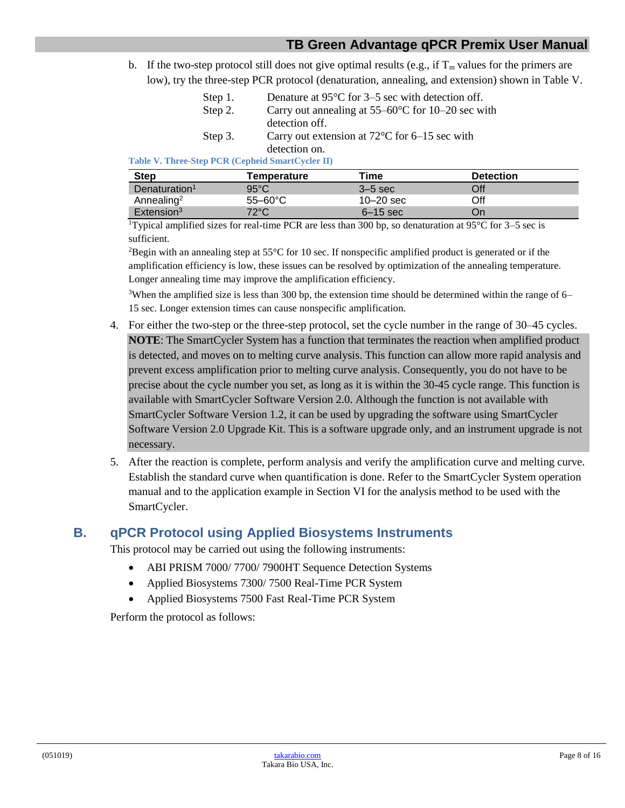b. If the two-step protocol still does not give optimal results (e.g., if  $T_m$  values for the primers are low), try the three-step PCR protocol (denaturation, annealing, and extension) shown in Table V.

| Step 1. | Denature at $95^{\circ}$ C for 3–5 sec with detection off.  |
|---------|-------------------------------------------------------------|
| Step 2. | Carry out annealing at $55-60^{\circ}$ C for 10–20 sec with |
|         | detection off.                                              |
| Step 3. | Carry out extension at $72^{\circ}$ C for 6–15 sec with     |
|         | detection on.                                               |

<span id="page-7-1"></span>**Table V. Three-Step PCR (Cepheid SmartCycler II)**

| <b>Step</b>               | Temperature       | Time          | <b>Detection</b> |
|---------------------------|-------------------|---------------|------------------|
| Denaturation <sup>1</sup> | $95^{\circ}$ C    | $3-5$ sec     | Off              |
| Annealing <sup>2</sup>    | $55-60^{\circ}$ C | $10 - 20$ sec | Off              |
| Extension <sup>3</sup>    | 72°C              | $6-15$ sec    | On               |

<sup>1</sup>Typical amplified sizes for real-time PCR are less than 300 bp, so denaturation at  $95^{\circ}$ C for  $3-5$  sec is sufficient.

<sup>2</sup>Begin with an annealing step at  $55^{\circ}$ C for 10 sec. If nonspecific amplified product is generated or if the amplification efficiency is low, these issues can be resolved by optimization of the annealing temperature. Longer annealing time may improve the amplification efficiency.

<sup>3</sup>When the amplified size is less than 300 bp, the extension time should be determined within the range of 6– 15 sec. Longer extension times can cause nonspecific amplification.

- 4. For either the two-step or the three-step protocol, set the cycle number in the range of 30–45 cycles. **NOTE**: The SmartCycler System has a function that terminates the reaction when amplified product is detected, and moves on to melting curve analysis. This function can allow more rapid analysis and prevent excess amplification prior to melting curve analysis. Consequently, you do not have to be precise about the cycle number you set, as long as it is within the 30-45 cycle range. This function is available with SmartCycler Software Version 2.0. Although the function is not available with SmartCycler Software Version 1.2, it can be used by upgrading the software using SmartCycler Software Version 2.0 Upgrade Kit. This is a software upgrade only, and an instrument upgrade is not necessary.
- 5. After the reaction is complete, perform analysis and verify the amplification curve and melting curve. Establish the standard curve when quantification is done. Refer to the SmartCycler System operation manual and to the application example in Section VI for the analysis method to be used with the SmartCycler.

#### <span id="page-7-0"></span>**B. qPCR Protocol using Applied Biosystems Instruments**

This protocol may be carried out using the following instruments:

- ABI PRISM 7000/7700/7900HT Sequence Detection Systems
- Applied Biosystems 7300/ 7500 Real-Time PCR System
- Applied Biosystems 7500 Fast Real-Time PCR System

Perform the protocol as follows: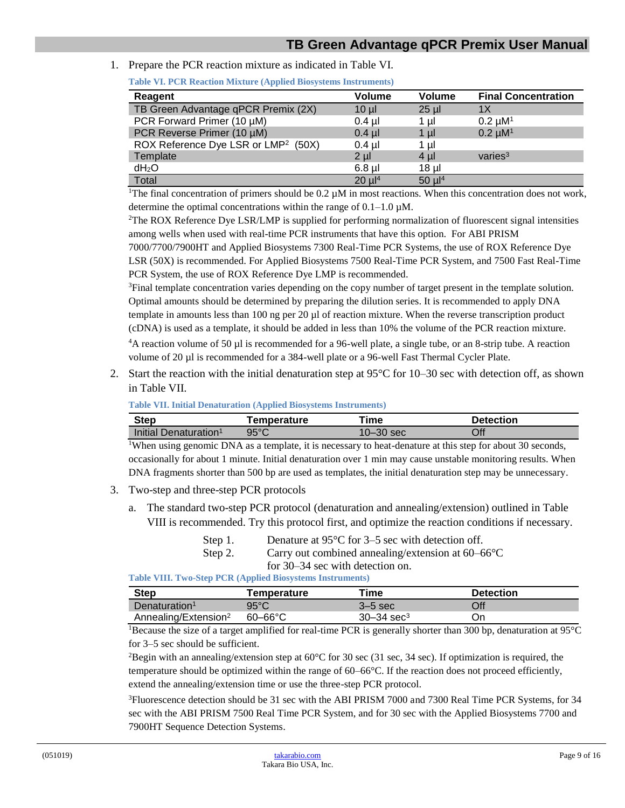<span id="page-8-0"></span>1. Prepare the PCR reaction mixture as indicated in Table VI.

| Table vil I Civitation buxture (rippired Divoybethis mon unichto) |               |               |                            |  |  |
|-------------------------------------------------------------------|---------------|---------------|----------------------------|--|--|
| Reagent                                                           | <b>Volume</b> | <b>Volume</b> | <b>Final Concentration</b> |  |  |
| TB Green Advantage qPCR Premix (2X)                               | $10 \mu$      | $25$ µl       | 1Х                         |  |  |
| PCR Forward Primer (10 µM)                                        | $0.4$ µl      | 1 µl          | $0.2 \mu M1$               |  |  |
| PCR Reverse Primer (10 µM)                                        | $0.4$ µl      | 1 ul          | $0.2 \mu M1$               |  |  |
| ROX Reference Dye LSR or LMP <sup>2</sup> (50X)                   | $0.4$ µl      | 1 µl          |                            |  |  |
| Template                                                          | 2 ul          | 4 ul          | varies $3$                 |  |  |
| $dH_2O$                                                           | $6.8$ µl      | $18$ µl       |                            |  |  |
| Total                                                             | $20 \mu l^4$  | $50 \mu l^4$  |                            |  |  |

**Table VI. PCR Reaction Mixture (Applied Biosystems Instruments)**

<sup>1</sup>The final concentration of primers should be  $0.2 \mu M$  in most reactions. When this concentration does not work, determine the optimal concentrations within the range of  $0.1-1.0 \mu M$ .

<sup>2</sup>The ROX Reference Dye LSR/LMP is supplied for performing normalization of fluorescent signal intensities among wells when used with real-time PCR instruments that have this option. For ABI PRISM

7000/7700/7900HT and Applied Biosystems 7300 Real-Time PCR Systems, the use of ROX Reference Dye LSR (50X) is recommended. For Applied Biosystems 7500 Real-Time PCR System, and 7500 Fast Real-Time PCR System, the use of ROX Reference Dye LMP is recommended.

<sup>3</sup>Final template concentration varies depending on the copy number of target present in the template solution. Optimal amounts should be determined by preparing the dilution series. It is recommended to apply DNA template in amounts less than 100 ng per 20 µl of reaction mixture. When the reverse transcription product (cDNA) is used as a template, it should be added in less than 10% the volume of the PCR reaction mixture.

<sup>4</sup>A reaction volume of 50 µl is recommended for a 96-well plate, a single tube, or an 8-strip tube. A reaction volume of 20 µl is recommended for a 384-well plate or a 96-well Fast Thermal Cycler Plate.

<span id="page-8-1"></span>2. Start the reaction with the initial denaturation step at  $95^{\circ}$ C for 10–30 sec with detection off, as shown in Table VII.

**Table VII. Initial Denaturation (Applied Biosystems Instruments)**

| Step                              | Temperature | ⊺ime    | <b>Detection</b> |
|-----------------------------------|-------------|---------|------------------|
| Initial Denaturation <sup>1</sup> | 95°C        | -30 sec | Off              |

<sup>1</sup>When using genomic DNA as a template, it is necessary to heat-denature at this step for about 30 seconds, occasionally for about 1 minute. Initial denaturation over 1 min may cause unstable monitoring results. When DNA fragments shorter than 500 bp are used as templates, the initial denaturation step may be unnecessary.

- 3. Two-step and three-step PCR protocols
	- a. The standard two-step PCR protocol (denaturation and annealing/extension) outlined in Table VIII is recommended. Try this protocol first, and optimize the reaction conditions if necessary.

| Step 1. | Denature at $95^{\circ}$ C for 3–5 sec with detection off.  |
|---------|-------------------------------------------------------------|
| Step 2. | Carry out combined annealing/extension at $60-66^{\circ}$ C |
|         | for 30–34 sec with detection on.                            |

**Table VIII. Two-Step PCR (Applied Biosystems Instruments)**

<span id="page-8-2"></span>

| <b>Step</b>                      | Temperature    | Time                       | <b>Detection</b> |
|----------------------------------|----------------|----------------------------|------------------|
| Denaturation <sup>1</sup>        | $95^{\circ}$ C | $3-5$ sec                  | Off              |
| Annealing/Extension <sup>2</sup> | $60 - 66$ °C   | $30 - 34$ sec <sup>3</sup> | On               |

<sup>1</sup>Because the size of a target amplified for real-time PCR is generally shorter than 300 bp, denaturation at  $95^{\circ}$ C for 3–5 sec should be sufficient.

<sup>2</sup>Begin with an annealing/extension step at  $60^{\circ}$ C for 30 sec (31 sec, 34 sec). If optimization is required, the temperature should be optimized within the range of 60–66°C. If the reaction does not proceed efficiently, extend the annealing/extension time or use the three-step PCR protocol.

<sup>3</sup>Fluorescence detection should be 31 sec with the ABI PRISM 7000 and 7300 Real Time PCR Systems, for 34 sec with the ABI PRISM 7500 Real Time PCR System, and for 30 sec with the Applied Biosystems 7700 and 7900HT Sequence Detection Systems.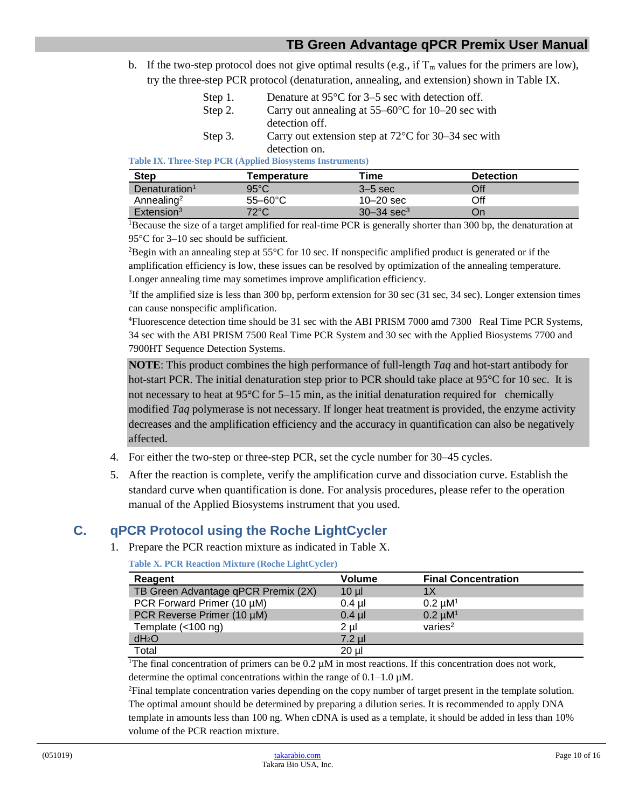b. If the two-step protocol does not give optimal results (e.g., if  $T_m$  values for the primers are low), try the three-step PCR protocol (denaturation, annealing, and extension) shown in Table IX.

| Step 1. | Denature at $95^{\circ}$ C for 3–5 sec with detection off.    |
|---------|---------------------------------------------------------------|
| Step 2. | Carry out annealing at $55-60^{\circ}$ C for 10–20 sec with   |
|         | detection off.                                                |
| Step 3. | Carry out extension step at $72^{\circ}$ C for 30–34 sec with |
|         | detection on.                                                 |

<span id="page-9-1"></span>**Table IX. Three-Step PCR (Applied Biosystems Instruments)**

| <b>Step</b>               | Temperature       | Time                       | <b>Detection</b> |
|---------------------------|-------------------|----------------------------|------------------|
| Denaturation <sup>1</sup> | $95^{\circ}$ C    | $3-5$ sec                  | Off              |
| Annealing <sup>2</sup>    | $55-60^{\circ}$ C | $10 - 20$ sec              | Off              |
| Extension <sup>3</sup>    | $72^{\circ}$ C    | $30 - 34$ sec <sup>3</sup> | On               |

<sup>1</sup>Because the size of a target amplified for real-time PCR is generally shorter than 300 bp, the denaturation at 95°C for 3–10 sec should be sufficient.

<sup>2</sup>Begin with an annealing step at  $55^{\circ}$ C for 10 sec. If nonspecific amplified product is generated or if the amplification efficiency is low, these issues can be resolved by optimization of the annealing temperature. Longer annealing time may sometimes improve amplification efficiency.

 ${}^{3}$ If the amplified size is less than 300 bp, perform extension for 30 sec (31 sec, 34 sec). Longer extension times can cause nonspecific amplification.

<sup>4</sup>Fluorescence detection time should be 31 sec with the ABI PRISM 7000 amd 7300 Real Time PCR Systems, 34 sec with the ABI PRISM 7500 Real Time PCR System and 30 sec with the Applied Biosystems 7700 and 7900HT Sequence Detection Systems.

**NOTE**: This product combines the high performance of full-length *Taq* and hot-start antibody for hot-start PCR. The initial denaturation step prior to PCR should take place at 95<sup>o</sup>C for 10 sec. It is not necessary to heat at  $95^{\circ}$ C for  $5-15$  min, as the initial denaturation required for chemically modified *Taq* polymerase is not necessary. If longer heat treatment is provided, the enzyme activity decreases and the amplification efficiency and the accuracy in quantification can also be negatively affected.

- 4. For either the two-step or three-step PCR, set the cycle number for 30–45 cycles.
- 5. After the reaction is complete, verify the amplification curve and dissociation curve. Establish the standard curve when quantification is done. For analysis procedures, please refer to the operation manual of the Applied Biosystems instrument that you used.

## <span id="page-9-2"></span>**C. qPCR Protocol using the Roche LightCycler**

1. Prepare the PCR reaction mixture as indicated in Table X.

<span id="page-9-0"></span>**Table X. PCR Reaction Mixture (Roche LightCycler)**

| Reagent                             | <b>Volume</b> | <b>Final Concentration</b> |
|-------------------------------------|---------------|----------------------------|
| TB Green Advantage qPCR Premix (2X) | $10 \mu$      | 1Χ                         |
| PCR Forward Primer (10 µM)          | $0.4$ µl      | $0.2 \mu M1$               |
| PCR Reverse Primer (10 µM)          | $0.4$ µl      | $0.2 \mu M1$               |
| Template $(<100$ ng)                | $2 \mu$       | varies <sup>2</sup>        |
| $dH_2O$                             | $7.2$ µl      |                            |
| Total                               | $20 \mu$      |                            |

<sup>1</sup>The final concentration of primers can be  $0.2 \mu M$  in most reactions. If this concentration does not work, determine the optimal concentrations within the range of  $0.1-1.0 \mu M$ .

<sup>2</sup>Final template concentration varies depending on the copy number of target present in the template solution. The optimal amount should be determined by preparing a dilution series. It is recommended to apply DNA template in amounts less than 100 ng. When cDNA is used as a template, it should be added in less than 10% volume of the PCR reaction mixture.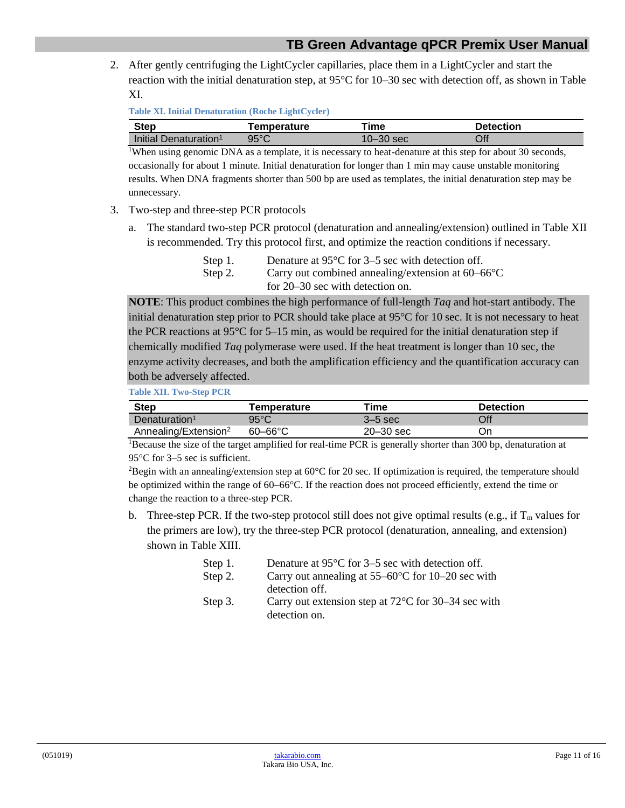<span id="page-10-0"></span>2. After gently centrifuging the LightCycler capillaries, place them in a LightCycler and start the reaction with the initial denaturation step, at 95°C for 10–30 sec with detection off, as shown in Table XI.

**Table XI. Initial Denaturation (Roche LightCycler)**

| Step                              | Temperature    | ⊺ime      | <b>Detection</b> |
|-----------------------------------|----------------|-----------|------------------|
| Initial Denaturation <sup>1</sup> | $95^{\circ}$ C | 10–30 sec | Off              |

<sup>1</sup>When using genomic DNA as a template, it is necessary to heat-denature at this step for about 30 seconds, occasionally for about 1 minute. Initial denaturation for longer than 1 min may cause unstable monitoring results. When DNA fragments shorter than 500 bp are used as templates, the initial denaturation step may be unnecessary.

- 3. Two-step and three-step PCR protocols
	- a. The standard two-step PCR protocol (denaturation and annealing/extension) outlined in Table XII is recommended. Try this protocol first, and optimize the reaction conditions if necessary.

| Step 1. | Denature at $95^{\circ}$ C for 3–5 sec with detection off.  |
|---------|-------------------------------------------------------------|
| Step 2. | Carry out combined annealing/extension at $60-66^{\circ}$ C |
|         | for $20-30$ sec with detection on.                          |

**NOTE**: This product combines the high performance of full-length *Taq* and hot-start antibody. The initial denaturation step prior to PCR should take place at 95°C for 10 sec. It is not necessary to heat the PCR reactions at  $95^{\circ}$ C for 5–15 min, as would be required for the initial denaturation step if chemically modified *Taq* polymerase were used. If the heat treatment is longer than 10 sec, the enzyme activity decreases, and both the amplification efficiency and the quantification accuracy can both be adversely affected.

**Table XII. Two-Step PCR**

<span id="page-10-1"></span>

| Step                             | Temperature         | Time      | <b>Detection</b> |  |
|----------------------------------|---------------------|-----------|------------------|--|
| Denaturation <sup>1</sup>        | $95^{\circ}$ C      | $3-5$ sec | Off              |  |
| Annealing/Extension <sup>2</sup> | $60 - 66^{\circ}$ C | 20–30 sec | Эn               |  |

<sup>1</sup>Because the size of the target amplified for real-time PCR is generally shorter than 300 bp, denaturation at 95°C for 3–5 sec is sufficient.

<sup>2</sup>Begin with an annealing/extension step at  $60^{\circ}$ C for 20 sec. If optimization is required, the temperature should be optimized within the range of 60–66°C. If the reaction does not proceed efficiently, extend the time or change the reaction to a three-step PCR.

<span id="page-10-2"></span>b. Three-step PCR. If the two-step protocol still does not give optimal results (e.g., if  $T_m$  values for the primers are low), try the three-step PCR protocol (denaturation, annealing, and extension) shown in Table XIII.

| Step 1. | Denature at $95^{\circ}$ C for 3–5 sec with detection off.    |
|---------|---------------------------------------------------------------|
| Step 2. | Carry out annealing at $55-60^{\circ}$ C for 10–20 sec with   |
|         | detection off.                                                |
| Step 3. | Carry out extension step at $72^{\circ}$ C for 30–34 sec with |
|         | detection on.                                                 |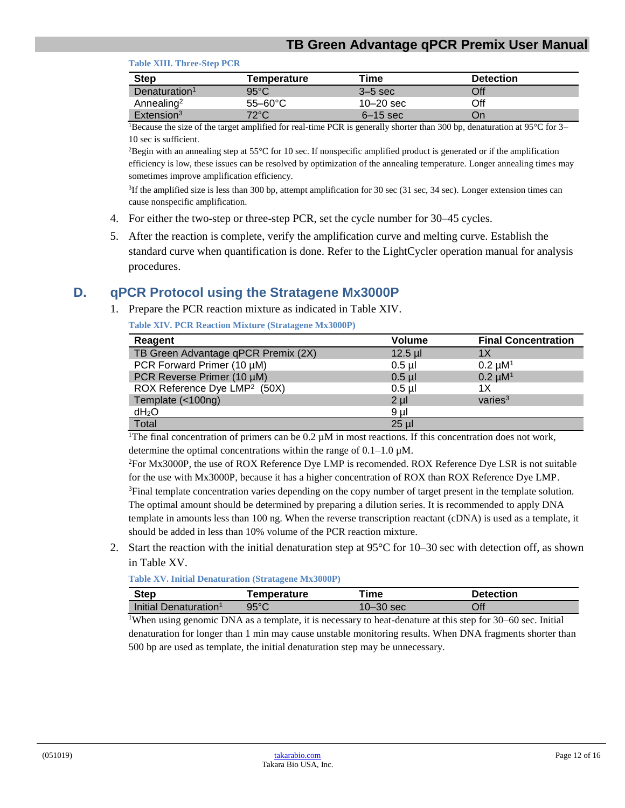#### **Table XIII. Three-Step PCR**

| <b>Step</b>               | Temperature       | Гіmе          | <b>Detection</b> |
|---------------------------|-------------------|---------------|------------------|
| Denaturation <sup>1</sup> | $95^{\circ}$ C    | $3-5$ sec     | Off              |
| Annealing <sup>2</sup>    | $55-60^{\circ}$ C | $10 - 20$ sec | Off              |
| Extension <sup>3</sup>    | $72^{\circ}$ C    | $6-15$ sec    | On               |

<sup>1</sup>Because the size of the target amplified for real-time PCR is generally shorter than 300 bp, denaturation at  $95^{\circ}$ C for 3– 10 sec is sufficient.

<sup>2</sup>Begin with an annealing step at 55 $\degree$ C for 10 sec. If nonspecific amplified product is generated or if the amplification efficiency is low, these issues can be resolved by optimization of the annealing temperature. Longer annealing times may sometimes improve amplification efficiency.

3 If the amplified size is less than 300 bp, attempt amplification for 30 sec (31 sec, 34 sec). Longer extension times can cause nonspecific amplification.

- 4. For either the two-step or three-step PCR, set the cycle number for 30–45 cycles.
- <span id="page-11-0"></span>5. After the reaction is complete, verify the amplification curve and melting curve. Establish the standard curve when quantification is done. Refer to the LightCycler operation manual for analysis procedures.

#### <span id="page-11-1"></span>**D. qPCR Protocol using the Stratagene Mx3000P**

1. Prepare the PCR reaction mixture as indicated in Table XIV.

**Table XIV. PCR Reaction Mixture (Stratagene Mx3000P)**

| Reagent                                  | <b>Volume</b> | <b>Final Concentration</b> |
|------------------------------------------|---------------|----------------------------|
| TB Green Advantage qPCR Premix (2X)      | $12.5$ µl     | 1X                         |
| PCR Forward Primer (10 µM)               | $0.5$ µl      | $0.2 \mu M^{1}$            |
| PCR Reverse Primer (10 µM)               | $0.5$ $\mu$   | $0.2 \mu M1$               |
| ROX Reference Dye LMP <sup>2</sup> (50X) | $0.5$ µl      | 1X                         |
| Template (<100ng)                        | $2 \mu$       | varies $3$                 |
| dH <sub>2</sub> O                        | $9 \mu$       |                            |
| Total                                    | $25 \mu$      |                            |

<sup>1</sup>The final concentration of primers can be 0.2  $\mu$ M in most reactions. If this concentration does not work, determine the optimal concentrations within the range of  $0.1-1.0 \mu M$ .

<sup>2</sup>For Mx3000P, the use of ROX Reference Dye LMP is recomended. ROX Reference Dye LSR is not suitable for the use with Mx3000P, because it has a higher concentration of ROX than ROX Reference Dye LMP. <sup>3</sup>Final template concentration varies depending on the copy number of target present in the template solution. The optimal amount should be determined by preparing a dilution series. It is recommended to apply DNA template in amounts less than 100 ng. When the reverse transcription reactant (cDNA) is used as a template, it should be added in less than 10% volume of the PCR reaction mixture.

<span id="page-11-2"></span>2. Start the reaction with the initial denaturation step at 95°C for 10–30 sec with detection off, as shown in Table XV.

**Table XV. Initial Denaturation (Stratagene Mx3000P)**

| Step                              | Temperature    | `ime     | <b>Detection</b>                   |   |
|-----------------------------------|----------------|----------|------------------------------------|---|
| Initial Denaturation <sup>1</sup> | $95^{\circ}$ C | ገ–30 sec | Эff                                |   |
| $1 - - -$<br>$-1$                 |                |          | $\sim$ $\sim$ $\sim$ $\sim$ $\sim$ | - |

<sup>1</sup>When using genomic DNA as a template, it is necessary to heat-denature at this step for 30–60 sec. Initial denaturation for longer than 1 min may cause unstable monitoring results. When DNA fragments shorter than 500 bp are used as template, the initial denaturation step may be unnecessary.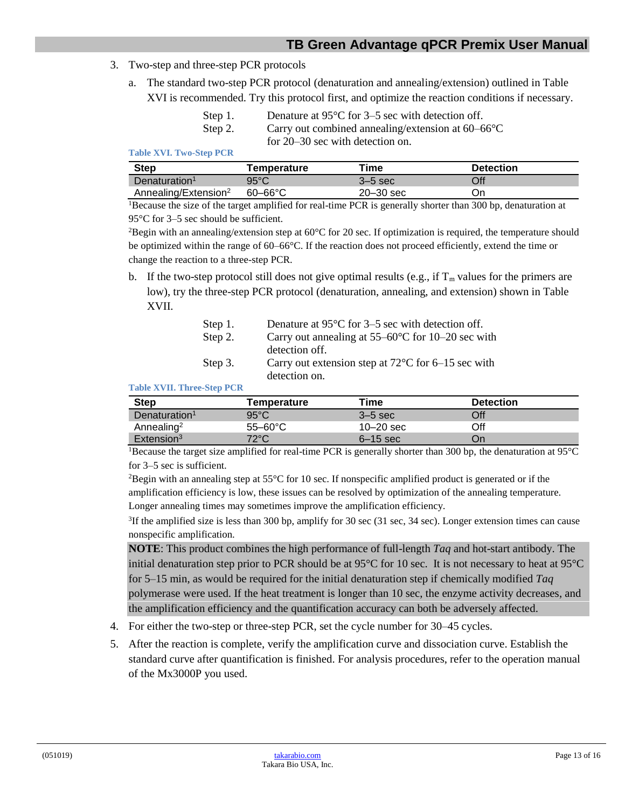- 3. Two-step and three-step PCR protocols
	- a. The standard two-step PCR protocol (denaturation and annealing/extension) outlined in Table XVI is recommended. Try this protocol first, and optimize the reaction conditions if necessary.

| Step 1. | Denature at $95^{\circ}$ C for 3–5 sec with detection off.  |
|---------|-------------------------------------------------------------|
| Step 2. | Carry out combined annealing/extension at $60-66^{\circ}$ C |
|         | for 20–30 sec with detection on.                            |

<span id="page-12-1"></span>**Table XVI. Two-Step PCR**

| Step                             | Temperature    | Time          | <b>Detection</b> |
|----------------------------------|----------------|---------------|------------------|
| Denaturation <sup>1</sup>        | $95^{\circ}$ C | $3-5$ sec     | Off              |
| Annealing/Extension <sup>2</sup> | $60 - 66$ °C   | $20 - 30$ sec | Οn               |

<sup>1</sup>Because the size of the target amplified for real-time PCR is generally shorter than 300 bp, denaturation at 95°C for 3–5 sec should be sufficient.

<sup>2</sup>Begin with an annealing/extension step at  $60^{\circ}$ C for 20 sec. If optimization is required, the temperature should be optimized within the range of 60–66°C. If the reaction does not proceed efficiently, extend the time or change the reaction to a three-step PCR.

b. If the two-step protocol still does not give optimal results (e.g., if  $T_m$  values for the primers are low), try the three-step PCR protocol (denaturation, annealing, and extension) shown in Table XVII.

| Step 1. | Denature at $95^{\circ}$ C for 3–5 sec with detection off.   |
|---------|--------------------------------------------------------------|
| Step 2. | Carry out annealing at $55-60^{\circ}$ C for 10–20 sec with  |
|         | detection off.                                               |
| Step 3. | Carry out extension step at $72^{\circ}$ C for 6–15 sec with |
|         | detection on.                                                |

#### **Table XVII. Three-Step PCR**

<span id="page-12-2"></span>

| <b>Step</b>               | Temperature       | Time          | <b>Detection</b> |
|---------------------------|-------------------|---------------|------------------|
| Denaturation <sup>1</sup> | $95^{\circ}$ C    | $3-5$ sec     | Off              |
| Annealing <sup>2</sup>    | $55-60^{\circ}$ C | $10 - 20$ sec | Off              |
| Extension <sup>3</sup>    | $72^{\circ}$ C    | $6-15$ sec    | On               |

<sup>1</sup>Because the target size amplified for real-time PCR is generally shorter than 300 bp, the denaturation at 95°C for 3–5 sec is sufficient.

<sup>2</sup>Begin with an annealing step at  $55^{\circ}$ C for 10 sec. If nonspecific amplified product is generated or if the amplification efficiency is low, these issues can be resolved by optimization of the annealing temperature. Longer annealing times may sometimes improve the amplification efficiency.

3 If the amplified size is less than 300 bp, amplify for 30 sec (31 sec, 34 sec). Longer extension times can cause nonspecific amplification.

**NOTE**: This product combines the high performance of full-length *Taq* and hot-start antibody. The initial denaturation step prior to PCR should be at 95°C for 10 sec. It is not necessary to heat at 95°C for 5–15 min, as would be required for the initial denaturation step if chemically modified *Taq* polymerase were used. If the heat treatment is longer than 10 sec, the enzyme activity decreases, and the amplification efficiency and the quantification accuracy can both be adversely affected.

- 4. For either the two-step or three-step PCR, set the cycle number for 30–45 cycles.
- <span id="page-12-0"></span>5. After the reaction is complete, verify the amplification curve and dissociation curve. Establish the standard curve after quantification is finished. For analysis procedures, refer to the operation manual of the Mx3000P you used.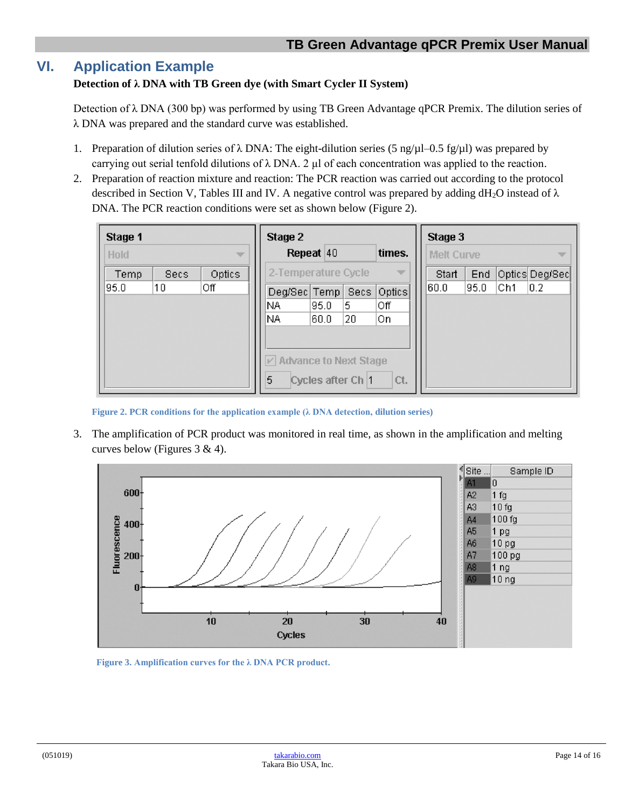# **VI. Application Example**

#### **Detection of λ DNA with TB Green dye (with Smart Cycler II System)**

Detection of λ DNA (300 bp) was performed by using TB Green Advantage qPCR Premix. The dilution series of λ DNA was prepared and the standard curve was established.

- 1. Preparation of dilution series of  $\lambda$  DNA: The eight-dilution series (5 ng/ $\mu$ l–0.5 fg/ $\mu$ l) was prepared by carrying out serial tenfold dilutions of  $\lambda$  DNA. 2 µl of each concentration was applied to the reaction.
- 2. Preparation of reaction mixture and reaction: The PCR reaction was carried out according to the protocol described in Section V, Tables III and IV. A negative control was prepared by adding dH<sub>2</sub>O instead of  $\lambda$ DNA. The PCR reaction conditions were set as shown below (Figure 2).

| Stage 1<br><b>Hold</b><br>w |             | Stage 2<br>Repeat 40 |                                          | times.              | Stage 3<br><b>Melt Curve</b><br>w |               |              |      |      |                |
|-----------------------------|-------------|----------------------|------------------------------------------|---------------------|-----------------------------------|---------------|--------------|------|------|----------------|
| Temp                        | <b>Secs</b> | Optics               |                                          | 2-Temperature Cycle |                                   | ÷             | Start<br>End |      |      | Optics Deg/Sec |
| 95.0                        | 10          | 0ff                  | Deg/Sec Temp<br>NA.                      | 95.0                | Secs:<br>5.                       | Optics<br>Οff | 60.0         | 95.0 | lCh1 | 0.2            |
|                             |             |                      | NA.                                      | 60.0                | 20                                | lOn.          |              |      |      |                |
|                             |             |                      | $\triangledown$ Advance to Next Stage    |                     |                                   |               |              |      |      |                |
|                             |             |                      | 5<br>Cycles after Ch <sup>1</sup><br>Ct. |                     |                                   |               |              |      |      |                |

**Figure 2. PCR conditions for the application example (λ DNA detection, dilution series)**

<span id="page-13-0"></span>3. The amplification of PCR product was monitored in real time, as shown in the amplification and melting curves below (Figures 3 & 4).



<span id="page-13-1"></span>**Figure 3. Amplification curves for the λ DNA PCR product.**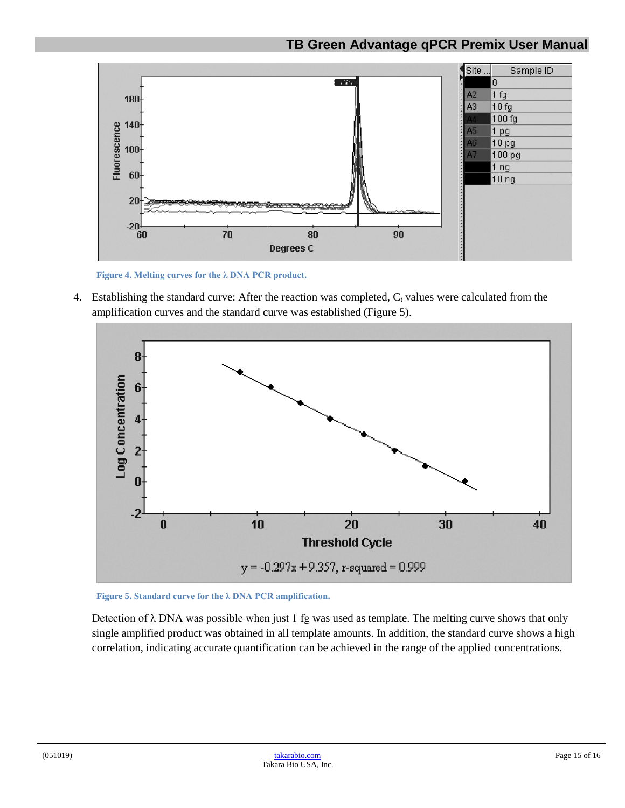

**Figure 4. Melting curves for the λ DNA PCR product.**

<span id="page-14-0"></span>4. Establishing the standard curve: After the reaction was completed,  $C_t$  values were calculated from the amplification curves and the standard curve was established (Figure 5).



<span id="page-14-1"></span>**Figure 5. Standard curve for the λ DNA PCR amplification.**

Detection of  $\lambda$  DNA was possible when just 1 fg was used as template. The melting curve shows that only single amplified product was obtained in all template amounts. In addition, the standard curve shows a high correlation, indicating accurate quantification can be achieved in the range of the applied concentrations.